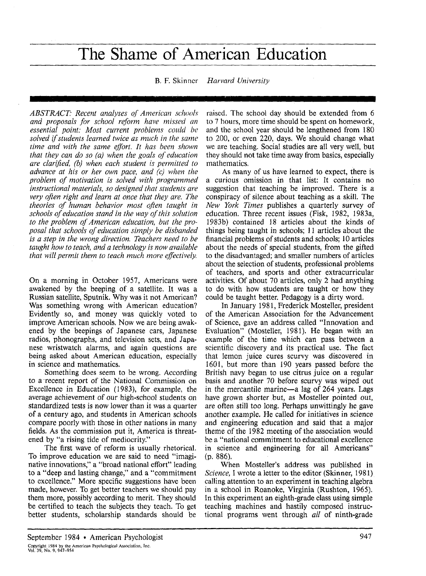# The Shame of American Education

B. F. Skinner *Harvard University*

*ABSTRACT: Recent analyses of American schools and proposals for school reform have missed an essential point: Most current problems could be solved if students learned twice as much in the same time and with the same effort. It has been shown that they can do so (a) when the goals of education are clarified, (b) when each student is permitted to advance at his or her own pace, and (c) when the problem of motivation is solved with programmed instructional materials, so designed that students are very often right and learn at once that they are. The theories of human behavior most often taught in schools of education stand in the way of this solution to the problem of American education, but the proposal that schools of education simply be disbanded is a step in the wrong direction. Teachers need to be taught how to teach, and a technology is now available that will permit them to teach much more effectively.*

On a morning in October 1957, Americans were awakened by the beeping of a satellite. It was a Russian satellite, Sputnik. Why was it not American? Was something wrong with American education? Evidently so, and money was quickly voted to improve American schools, Now we are being awakened by the beepings of Japanese cars, Japanese radios, phonographs, and television sets, and Japanese wristwatch alarms, and again questions are being asked about American education, especially in science and mathematics.

Something does seem to be wrong. According to a-recent report of the National Commission on Excellence in Education (1983), for example, the average achievement of our high-school students on standardized tests is now lower than it was a quarter of a century ago, and students in American schools compare poorly with those in other nations in many fields. As the commission put it, America is threatened by "a rising tide of mediocrity."

The first wave of reform is usually rhetorical. To improve education we are said to need "imaginative innovations," a "broad national effort" leading to a "deep and lasting change," and a "commitment to excellence." More specific suggestions have been made, however. To get better teachers we should pay them more, possibly according to merit. They should be certified to teach the subjects they teach. To get better students, scholarship standards should be

raised. The school day should be extended from 6 to 7 hours, more time should be spent on homework, and the school year should be lengthened from 180 to 200, or even 220, days. We should change what we are teaching. Social studies are all very well, but they should not take time away from basics, especially mathematics.

As many of us have learned to expect, there is a curious omission in that list: It contains no suggestion that teaching be improved. There is a conspiracy of silence about teaching as a skill. The *New York Times* publishes a quarterly survey of education. Three recent issues (Fisk, 1982, 1983a, 1983b) contained 18 articles about the kinds of things being taught in schools; 11 articles about the financial problems of students and schools; 10 articles about the needs of special students, from the gifted to the disadvantaged; and smaller numbers of articles about the selection of students, professional problems of teachers, and sports and other extracurricular activities. Of about 70 articles, only 2 had anything to do with how students are taught or how they could be taught better. Pedagogy is a dirty word.

In January 1981, Frederick Mosteller, president of the American Association for the Advancement of Science, gave an address called "Innovation and Evaluation" (Mosteller, 1981). He began with an example of the time which can pass between a scientific discovery and its practical use. The fact that lemon juice cures scurvy was discovered in 1601, but more than 190 years passed before the British navy began to use citrus juice on a regular basis and another 70 before scurvy was wiped out in the mercantile marine—a lag of 264 years. Lags have grown shorter but, as Mosteller pointed out, are often still too long. Perhaps unwittingly he gave another example. He called for initiatives in science and engineering education and said that a major theme of the 1982 meeting of the association would be a "national commitment to educational excellence in science and engineering for all Americans" (p. 886),

When Mosteller's address was published in *Science,* I wrote a letter to the editor (Skinner, 1981) calling attention to an experiment in teaching algebra in a school in Roanoke, Virginia (Rushton, 1965). In this experiment an eighth-grade class using simple teaching machines and hastily composed instructional programs went through *all* of ninth-grade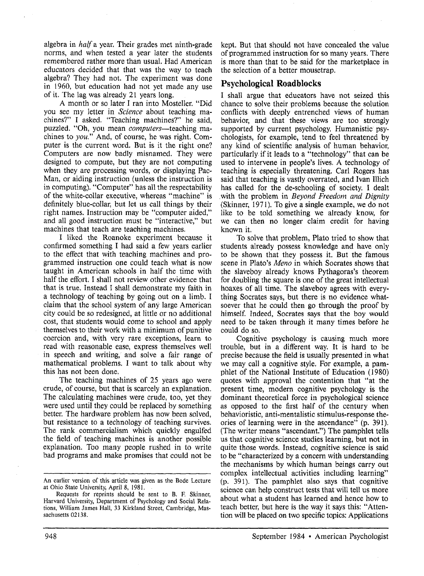algebra in *half a* year. Their grades met ninth-grade norms, and when tested a year later the students remembered rather more than usual. Had American educators decided that that was the way to teach algebra? They had not. The experiment was done in 1960, but education had not yet made any use of it. The lag was already 21 years long.

A month or so later I ran into Mosteller. "Did you see my letter in *Science* about teaching machines?" I asked. "Teaching machines?" he said, puzzled. "Oh, you mean *computers*—teaching machines to *you."* And, of course, he was right. Computer is the current word. But is it the right one? Computers are now badly misnamed. They were designed to compute, but they are not computing when they are processing words, or displaying Pac-Man, or aiding instruction (unless the instruction is in computing). "Computer" has all the respectability of the white-collar executive, whereas "machine" is definitely blue-collar, but let us call things by their right names. Instruction may be "computer aided," and all good instruction must be "interactive," but machines that teach are teaching machines.

I liked the Roanoke experiment because it confirmed something I had said a few years earlier to the effect that with teaching machines and programmed instruction one could teach what is now taught in American schools in half the time with half the effort. I shall not review other evidence that that is true. Instead I shall demonstrate my faith in a technology of teaching by going out on a limb. I claim that the school system of any large American city could be so redesigned, at little or no additional cost, that students would come to school and apply themselves to their work with a minimum of punitive coercion and, with very rare exceptions, learn to read with reasonable ease, express themselves well in speech and writing, and solve a fair range of mathematical problems. I want to talk about why this has not been done.

The teaching machines of 25 years ago were crude, of course, but that is scarcely an explanation. The calculating machines were crude, too, yet they were used until they could be replaced by something better. The hardware problem has now been solved, but resistance to a technology of teaching survives. The rank commercialism which quickly engulfed the field of teaching machines is another possible explanation. Too many people rushed in to write bad programs and make promises that could not be kept. But that should not have concealed the value of programmed instruction for so many years. There is more than that to be said for the marketplace in the selection of a better mousetrap.

#### **Psychological Roadblocks**

I shall argue that educators have not seized this chance to solve their problems because the solution conflicts with deeply entrenched views of human behavior, and that these views are too strongly supported by current psychology. Humanistic psychologists, for example, tend to feel threatened by any kind of scientific analysis of human behavior, particularly if it leads to a "technology" that can be used to intervene in people's lives. A technology of teaching is especially threatening. Carl Rogers has said that teaching is vastly overrated, and Ivan Illich has called for the de-schooling of society. I dealt .with the problem in *Beyond Freedom and Dignity* (Skinner, 1971). To give a single example, we do not like to be told something we already know, for we can then no longer claim credit for having known it.

To solve that problem, Plato tried to show that students already possess knowledge and have only to be shown that they possess it. But the famous scene in Plato's *Meno* in which Socrates shows that the slaveboy already knows Pythagoras's theorem for doubling the square is one of the great intellectual hoaxes of all time. The slaveboy agrees with everything Socrates says, but there is no evidence whatsoever that he could then go through the proof by himself. Indeed, Socrates says that the boy would need to be taken through it many times before he could do so.

Cognitive psychology is causing much more trouble, but in a different way. It is hard to be precise because the field is usually presented in what we may call a cognitive style. For example, a pamphlet of the National Institute of Education (1980) quotes with approval the contention that "at the present time, modern cognitive psychology is the dominant theoretical force in psychological science as opposed to the first half of the century when behavioristic, anti-mentalistic stimulus-response theories of learning were in the ascendance" (p. 391). (The writer means "ascendant.") The pamphlet tells us that cognitive science studies learning, but not in quite those words. Instead, cognitive science is said to be "characterized by a concern with understanding the mechanisms by which human beings carry out complex intellectual activities including learning" (p. 391). The pamphlet also says that cognitive science can help construct tests that will tell us more about what a student has learned and hence how to teach better, but here is the way it says this: "Attention will be placed on two specific topics: Applications

An earlier version of this article was given as the Bode Lecture at Ohio State University, April 8, 1981.

Requests for reprints should be sent to B. F. Skinner, Harvard University, Department of Psychology and Social Relations, William James Hall, 33 Kirkland Street, Cambridge, Massachusetts 02138.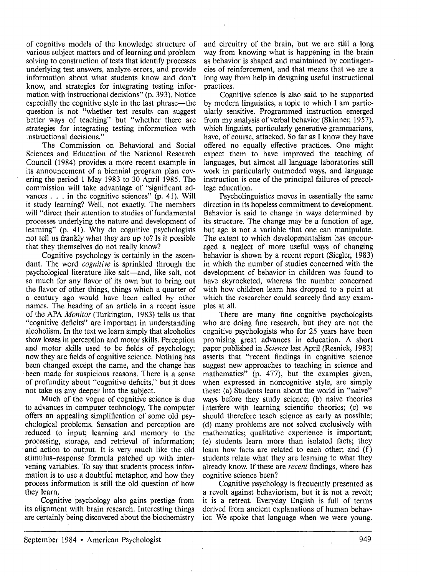of cognitive models of the knowledge structure of various subject matters and of learning and problem solving to construction of tests that identify processes underlying test answers, analyze errors, and provide information about what students know and don't know, and strategies for integrating testing information with instructional decisions" (p. 393). Notice especially the cognitive style in the last phrase—the question is not "whether test results can suggest better ways of teaching" but "whether there are strategies for integrating testing information with instructional decisions."

The Commission on Behavioral and Social Sciences and Education of the National Research Council (1984) provides a more recent example in its announcement of a biennial program plan covering the period 1 May 1983 to 30 April 1985. The commission will take advantage of "significant advances .. . in the cognitive sciences" (p. 41). Will it study learning? Well, not exactly. The members will "direct their attention to studies of fundamental processes underlying the nature and development of learning" (p. 41). Why do cognitive psychologists not tell us frankly what they are up to? Is it possible that they themselves do not really know?

Cognitive psychology is certainly in the ascendant. The word *cognitive* is sprinkled through the psychological literature like salt—and, like salt, not so much for any flavor of its own but to bring out the flavor of other things, things which a quarter of a century ago would have been called by other names. The heading of an article in a recent issue of the APA *Monitor* (Turkington, 1983) tells us that "cognitive deficits" are important in understanding alcoholism. In the text we leam simply that alcoholics show losses in perception and motor skills. Perception and motor skills used to be fields of psychology; now they are fields of cognitive science. Nothing has been changed except the name, and the change has been made for suspicious reasons. There is a sense of profundity about "cognitive deficits," but it does not take us any deeper into the subject.

Much of the vogue of cognitive science is due to advances in computer technology. The computer offers an appealing simplification of some old psychological problems. Sensation and perception are reduced to input; learning and memory to the processing, storage, and retrieval of information; and action to output. It is very much like the old stimulus-response formula patched up with intervening variables. To say that students process information is to use a doubtful metaphor, and how they process information is still the old question of how they learn.

Cognitive psychology also gains prestige from its alignment with brain research. Interesting things are certainly being discovered about the biochemistry and circuitry of the brain, but we are still a long way from knowing what is happening in the brain as behavior is shaped and maintained by contingencies of reinforcement, and that means that we are a long way from help in designing useful instructional practices,

Cognitive science is also said to be supported by modern linguistics, a topic to which I am particularly sensitive. Programmed instruction emerged from my analysis of verbal behavior (Skinner, 1957), which linguists, particularly generative grammarians, have, of course, attacked. So far as I know they have offered no equally effective practices. One might expect them to have improved the teaching of languages, but almost all language laboratories still work in particularly outmoded ways, and language instruction is one of the principal failures of precollege education.

Psycholinguistics moves in essentially the same direction in its hopeless commitment to development. Behavior is said to change in ways determined by its structure. The change may be a function of age, but age is not a variable that one can manipulate. The extent to which developmentalism has encouraged a neglect of more useful ways of changing behavior is shown by a recent report (Siegler, 1983) in which the number of studies concerned with the development of behavior in children was found to have skyrocketed, whereas the number concerned with how children learn has dropped to a point at which the researcher could scarcely find any examples at all.

There are many fine cognitive psychologists who are doing fine research, but they are not the cognitive psychologists who for 25 years have been promising great advances in education. A short paper published in *Science* last April (Resnick, 1983) asserts that "recent findings in cognitive science suggest new approaches to teaching in science and mathematics" (p. 477), but the examples given, when expressed in noncognitive style, are simply these: (a) Students learn about the world in "naive" ways before they study science; (b) naive theories interfere with learning scientific theories; (c) we should therefore teach science as early as possible; (d) many problems are not solved exclusively with mathematics; qualitative experience is important; (e) students learn more than isolated facts; they learn how facts are related to each other; and (f) students relate what they are learning to what they already know. If these are *recent* findings, where has cognitive science been?

Cognitive psychology is frequently presented as a revolt against behaviorism, but it is not a revolt; it is a retreat. Everyday English is full of terms derived from ancient explanations of human behavior. We spoke that language when we were young.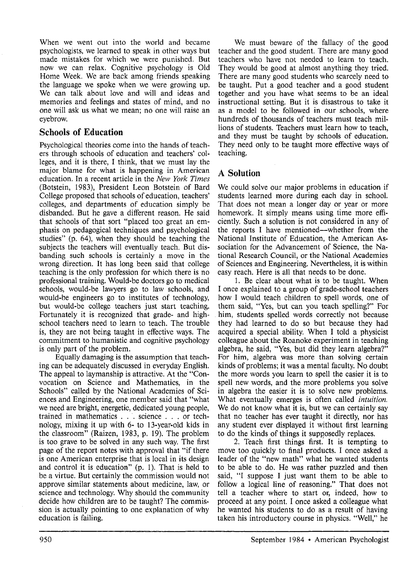When we went out into the world and became psychologists, we learned to speak in other ways but made mistakes for which we were punished. But now we can relax. Cognitive psychology is Old Home Week. We are back among friends speaking the language we spoke when we were growing up. We can talk about love and will and ideas and memories and feelings and states of mind, and no one will ask us what we mean; no one will raise an eyebrow.

#### **Schools of Education**

Psychological theories come into the hands of teachers through schools of education and teachers' colleges, and it is there, I think, that we must lay the major blame for what is happening in American education. In a recent article in the *New York Times* (Botstein, 1983), President Leon Botstein of Bard College proposed that schools of education, teachers' colleges, and departments of education simply be disbanded. But he gave a different reason. He said that schools of that sort "placed too great an emphasis on pedagogical techniques and psychological studies" (p. 64), when they should be teaching the subjects the teachers will eventually teach. But disbanding such schools is certainly a move in the wrong direction. It has long been said that college teaching is the only profession for which there is no professional training. Would-be doctors go to medical schools, would-be lawyers go to law schools, and would-be engineers go to institutes of technology, but would-be college teachers just start teaching. Fortunately it is recognized that grade- and highschool teachers need to learn to teach. The trouble is, they are not being taught in effective ways. The commitment to humanistic and cognitive psychology is only part of the problem.

Equally damaging is the assumption that teaching can be adequately discussed in everyday English. The appeal to laymanship is attractive. At the "Convocation on Science and Mathematics, in the Schools" called by the National Academies of Sciences and Engineering, one member said that "what we need are bright, energetic, dedicated young people, trained in mathematics .. . science .. . or technology, mixing it up with 6- to 13-year-old kids in the classroom" (Raizen, 1983, p. 19). The problem is too grave to be solved in any such way. The first page of the report notes with approval that "if there is one American enterprise that is local in its design and control it is education" (p. 1). That is held to be a virtue. But certainly the commission would not approve similar statements about medicine, law, or science and technology. Why should the community decide how children are to be taught? The commission is actually pointing to one explanation of why education is failing.

We must beware of the fallacy of the good teacher and the good student. There are many good teachers who have not needed to learn to teach. They would be good at almost anything they tried. There are many good students who scarcely need to be taught. Put a good teacher and a good student together and you have what seems to be an ideal instructional setting. But it is disastrous to take it as a model to be followed in our schools, where hundreds of thousands of teachers must teach millions of students. Teachers must learn how to teach, and they must be taught by schools of education. They need only to be taught more effective ways of teaching.

### **A Solution**

We could solve our major problems in education if students learned more during each day in school. That does not mean a longer day or year or more homework. It simply means using time more efficiently. Such a solution is not considered in any of the reports I have mentioned—whether from the National Institute of Education, the American Association for the Advancement of Science, the National Research Council, or the National Academies of Sciences and Engineering. Nevertheless, it is within easy reach. Here is all that needs to be done.

1. Be clear about what is to be taught. When I once explained to a group of grade-school teachers how I would teach children to spell words, one of them said, "Yes, but can you teach spelling?" For him, students spelled words correctly not because they had learned to do so but because they had acquired a special ability. When I told a physicist colleague about the Roanoke experiment in teaching algebra, he said, "Yes, but did they learn algebra?" For him, algebra was more than solving certain kinds of problems; it was a mental faculty. No doubt the more words you learn to spell the easier it is to spell new words, and the more problems you solve in algebra the easier it is to solve new problems. What eventually emerges is often called *intuition.* We do not know what it is, but we can certainly say that no teacher has ever taught it directly, nor has any student ever displayed it without first learning to do the kinds of things it supposedly replaces.

2. Teach first things first. It is tempting to move too quickly to final products. I once asked a leader of the "new math" what he wanted students to be able to do. He was rather puzzled and then said, "I suppose I just want them to be able to follow a logical line of reasoning." That does not tell a teacher where to start or, indeed, how to proceed at any point. I once asked a colleague what he wanted his students to do as a result of having taken his introductory course in physics. "Well," he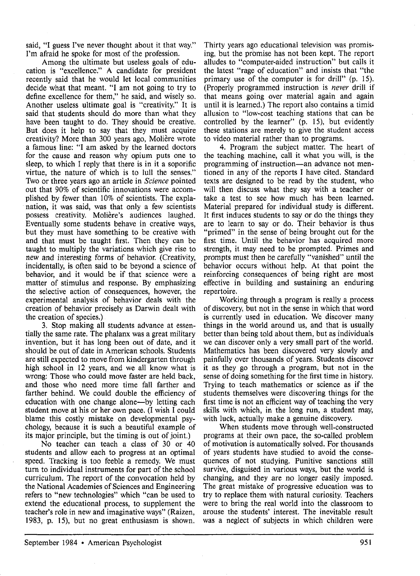said, "I guess I've never thought about it that way." I'm afraid he spoke for most of the profession.

Among the ultimate but useless goals of education is "excellence." A candidate for president recently said that he would let local communities decide what that meant. "I am not going to try to define excellence for them," he said, and wisely so. Another useless ultimate goal is "creativity." It is said that students should do more than what they have been taught to do. They should be creative. But does it help to say that they must acquire creativity? More than 300 years ago, Moliere wrote a famous line: "I am asked by the learned doctors for the cause and reason why opium puts one to sleep, to which I reply that there is in it a soporific virtue, the nature of which is to lull the senses." Two or three years ago an article in *Science* pointed out that 90% of scientific innovations were accomplished by fewer than 10% of scientists. The explanation, it was said, was that only a few scientists possess creativity. Moliere's audiences laughed. Eventually some students behave in creative ways, but they must have something to be creative with and that must be taught first. Then they can be taught to multiply the variations which give rise to new and interesting forms of behavior. (Creativity, incidentally, is often said to be beyond a science of behavior, and it would be if that science were a matter of stimulus and response. By emphasizing the selective action of consequences, however, the experimental analysis of behavior deals with the creation of behavior precisely as Darwin dealt with the creation of species.)

3. Stop making all students advance at essentially the same rate. The phalanx was a great military invention, but it has long been out of date, and it should be out of date in American schools. Students are still expected to move from kindergarten through high school in 12 years, and we all know what is wrong: Those who could move faster are held back, and those who need more time fall farther and farther behind. We could double the efficiency of education with one change alone—by letting each student move at his or her own pace. (I wish I could blame this costly mistake on developmental psychology, because it is such a beautiful example of its major principle, but the timing is out of joint.)

No teacher can teach a class of 30 or 40 students and allow each to progress at an optimal speed. Tracking is too feeble a remedy. We must turn to individual instruments for part of the school curriculum. The report of the convocation held by the National Academies of Sciences and Engineering refers to "new technologies" which "can be used to extend the educational process, to supplement the teacher's role in new and imaginative ways" (Raizen, 1983, p. 15), but no great enthusiasm is shown.

Thirty years ago educational television was promising, but the promise has not been kept. The report alludes to "computer-aided instruction" but calls it the latest "rage of education" and insists that "the primary use of the computer is for drill" (p. 15). (Properly programmed instruction is *never* drill if that means going over material again and again until it is learned.) The report also contains a timid allusion to "low-cost teaching stations that can be controlled by the learner" (p. 15), but evidently these stations are merely to give the student access to video material rather than to programs.

4. Program the subject matter. The heart of the teaching machine, call it what you will, is the programming of instruction—an advance not mentioned in any of the reports I have cited. Standard texts are designed to be read by the student, who will then discuss what they say with a teacher or take a test to see how much has been learned. Material prepared for individual study is different. It first induces students to say or do the things they are to learn to say or do. Their behavior is thus "primed" in the sense of being brought out for the first time. Until the behavior has acquired more strength, it may need to be prompted. Primes and prompts must then be carefully "vanished" until the behavior occurs without help. At that point the reinforcing consequences of being right are most effective in building and sustaining an enduring repertoire.

Working through a program is really a process of discovery, but not in the sense in which that word is currently used in education. We discover many things in the world around us, and that is usually better than being told about them, but as individuals we can discover only a very small part of the world. Mathematics has been discovered very slowly and painfully over thousands of years. Students discover it as they go through a program, but not in the sense of doing something for the first time in history. Trying to teach mathematics or science as if the students themselves were discovering things for the first time is not an efficient way of teaching the very skills with which, in the long run, a student may, with luck, actually make a genuine discovery.

When students move through well-constructed programs at their own pace, the so-called problem of motivation is automatically solved. For thousands of years students have studied to avoid the consequences of not studying, Punitive sanctions still survive, disguised in various ways, but the world is changing, and they are no longer easily imposed. The great mistake of progressive education was to try to replace them with natural curiosity. Teachers were to bring the real world into the classroom to arouse the students' interest. The inevitable result was a neglect of subjects in which children were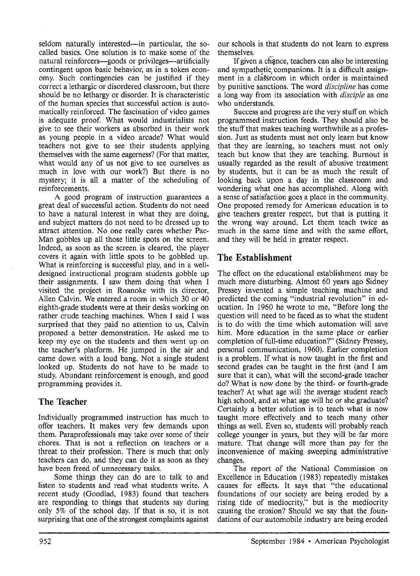seldom naturally interested—in particular, the socalled basics. One solution is to make some of the natural reinforcers—goods or privileges—artificially contingent upon basic behavior, as in a token economy. Such contingencies can be justified if they correct a lethargic or disordered classroom, but there should be no lethargy or disorder. It is characteristic of the human species that successful action is automatically reinforced. The fascination of video games is adequate proof. What would industrialists not give to see their workers as absorbed in their work as young people in a video arcade? What would teachers not give to see their students applying themselves with the same eagerness? (For that matter, what would any of us not give to see ourselves as much in love with our work?) But there is no mystery; it is all a matter of the scheduling of reinforcements.

A good program of instruction guarantees a great deal of successful action. Students do not need to have a natural interest in what they are doing, and subject matters do not need to be dressed up to attract attention. No one really cares whether Pac-Man gobbles up all those little spots on the screen. Indeed, as soon as the screen is cleared, the player covers it again with little spots to be gobbled up. What is reinforcing is successful play, and in a welldesigned instructional program students gobble up their assignments. I saw them doing that when I visited the project in Roanoke with its director, Allen Calvin. We entered a room in which 30 or 40 eighth-grade students were at their desks working on rather crude teaching machines. When I said I was surprised that they paid no attention to us, Calvin proposed a better demonstration. He asked me to keep my eye on the students and then went up on the teacher's platform. He jumped in the air and came down with a loud bang. Not a single student looked up. Students do not have to be made to study. Abundant reinforcement is enough, and good programming provides it.

### **The Teacher**

Individually programmed instruction has much to offer teachers. It makes very few demands upon them. Paraprofessionals may take over some of their chores. That is not a reflection on teachers or a threat to their profession. There is much that only teachers can do, and they can do it as soon as they have been freed of unnecessary tasks.

Some things they can do are to talk to and listen to students and read what students write. A recent study (Goodlad, 1983) found that teachers are responding to things that students say during only 5% of the school day. If that is so, it is not surprising that one of the strongest complaints against

our schools is that students do not learn to express themselves.

If given a chance, teachers can also be interesting and sympathetic companions. It is a difficult assignment in a claSsroom in which order is maintained by punitive sanctions. The word *discipline* has come a long way from its association with *disciple* as one who understands.

Success and progress are the very stuff on which programmed instruction feeds. They should also be the stuff that makes teaching worthwhile as a profession. Just as students must not only learn but know that they are learning, so teachers must not only teach but know that they are teaching. Burnout is usually regarded as the result of abusive treatment by students, but it can be as much the result of looking back upon a day in the classroom and wondering what one has accomplished. Along with a sense of satisfaction goes a place in the community. One proposed remedy for American education is to give teachers greater respect, but that is putting it the wrong way around. Let them teach twice as much in the same time and with the same effort, and they will be held in greater respect.

## **The Establishment**

The effect on the educational establishment may be much more disturbing. Almost 60 years ago Sidney Pressey invented a simple teaching machine and predicted the coming "industrial revolution" in education. In 1960 he wrote to me, "Before long the question will need to be faced as to what the student is to do with the time which automation will save him. More education in the same place or earlier completion of full-time education?" (Sidney Pressey, personal communication, 1960). Earlier completion is a problem. If what is now taught in the first and second grades can be taught in the first (and I am sure that it can), what will the second-grade teacher do? What is now done by the third- or fourth-grade teacher? At what age will the average student reach high school, and at what age will he or she graduate? Certainly a better solution is to teach what is now taught more effectively and to teach many other things as well. Even so, students will probably reach college younger in years, but they will be far more mature. That change will more than pay for the inconvenience of making sweeping administrative changes.

The report of the National Commission on Excellence in Education (1983) repeatedly mistakes causes for effects. It says that "the educational foundations of our society are being eroded by a rising tide of mediocrity," but is the mediocrity causing the erosion? Should we say that the foundations of our automobile industry are being eroded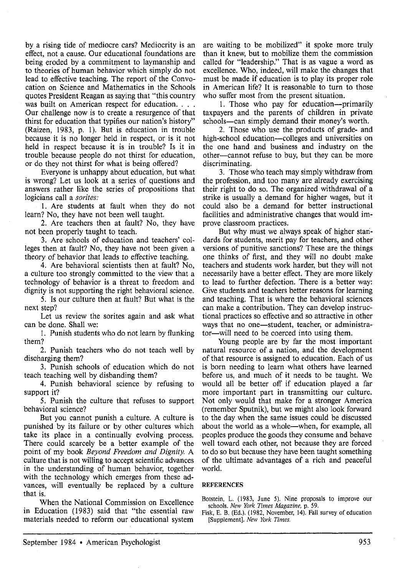by a rising tide of mediocre cars? Mediocrity is an effect, not a cause. Our educational foundations are being eroded by a commitment to laymanship and to theories of human behavior which simply do not lead to effective teaching. The report of the Convocation on Science and Mathematics in the Schools quotes President Reagan as saying that "this country was built on American respect for education. . . . Our challenge now is to create a resurgence of that thirst for education that typifies our nation's history" (Raizen, 1983, p. 1). But is education in trouble because it is no longer held in respect, or is it not held in respect because it is in trouble? Is it in trouble because people do not thirst for education, or do they not thirst for what is being offered?

Everyone is unhappy about education, but what is wrong? Let us look at a series of questions and answers rather like the series of propositions that logicians call a *sorites:*

1. Are students at fault when they do not learn? No, they have not been well taught.

2. Are teachers then at fault? No, they have not been properly taught to teach.

3. Are schools of education and teachers' colleges then at fault? No, they have not been given a theory of behavior that leads to effective teaching.

4. Are behavioral scientists then at fault? No, a culture too strongly committed to the view that a technology of behavior is a threat to freedom and dignity is not supporting the right behavioral science.

5. Is our culture then at fault? But what is the next step?

Let us review the sorites again and ask what can be done. Shall we;

1. Punish students who do not learn by flunking them?

2. Punish teachers who do not teach well by discharging them?

3. Punish schools of education which do not teach teaching well by disbanding them?

4. Punish behavioral science by refusing to support it?

5. Punish the culture that refuses to support behavioral science?

But you cannot punish a culture. A culture is punished by its failure or by other cultures which take its place in a continually evolving process. There could scarcely be a better example of the point of my book *Beyond Freedom and Dignity.* A culture that is not willing to accept scientific advances in the understanding of human behavior, together with the technology which emerges from these advances, will eventually be replaced by a culture that is.

When the National Commission on Excellence in Education (1983) said that "the essential raw materials needed to reform our educational system are waiting to be mobilized" it spoke more truly than it knew, but to mobilize them the commission called for "leadership." That is as vague a word as excellence. Who, indeed, will make the changes that must be made if education is to play its proper role in American life? It is reasonable to turn to those who suffer most from the present situation.

1. Those who pay for education—primarily taxpayers and the parents of children in private schools—can simply demand their money's worth.

2. Those who use the products of grade- and high-school education—colleges and universities on the one hand and business and industry on the other—cannot refuse to buy, but they can be more discriminating.

3. Those who teach may simply withdraw from the profession, and too many are already exercising their right to do so. The organized withdrawal of a strike is usually a demand for higher wages, but it could also be a demand for better instructional facilities and administrative changes that would improve classroom practices.

But why must we always speak of higher standards for students, merit pay for teachers, and other versions of punitive sanctions? These are the things one thinks of first, and they will no doubt make teachers and students work harder, but they will not necessarily have a better effect. They are more likely to lead to further defection. There is a better way: Give students and teachers better reasons for learning and teaching. That is where the behavioral sciences can make a contribution. They can develop instructional practices so effective and so attractive in other ways that no one—student, teacher, or administrator—will need to be coerced into using them.

Young people are by far the most important natural resource of a nation, and the development of that resource is assigned to education. Each of us is born needing to learn what others have learned before us, and much of it needs to be taught. We would all be better off if education played a far more important part in transmitting our culture. Not only would that make for a stronger America (remember Sputnik), but we might also look forward to the day when the same issues could be discussed about the world as a whole—when, for example, all peoples produce the goods they consume and behave well toward each other, not because they are forced to do so but because they have been taught something of the ultimate advantages of a rich and peaceful world.

#### **REFERENCES**

Botstein, L. (1983, June 5), Nine proposals to improve our schools. *New York Times Magazine,* p. 59.

Fisk, E, B. (Ed.). (1982, November, 14). Fall survey of education [Supplement]. *New York Times.*